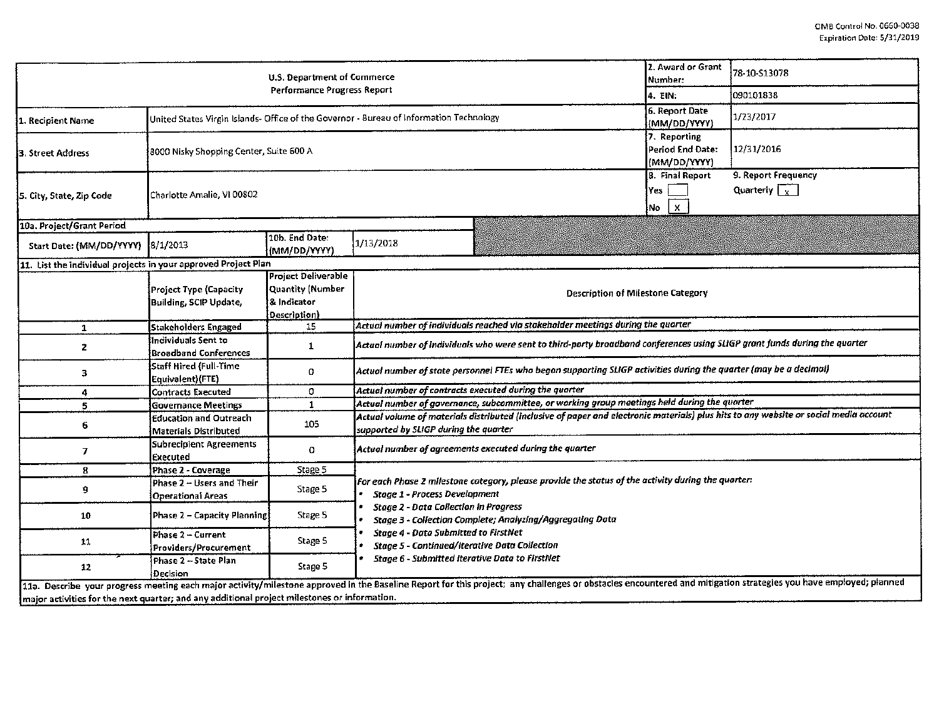|                                                                                              | U.S. Department of Commerce                                                             | 2. Award or Grant<br>Number:                                                  | 78-10-513078                                                                                                                                                                                                                                                       |                                                  |            |  |  |  |  |  |
|----------------------------------------------------------------------------------------------|-----------------------------------------------------------------------------------------|-------------------------------------------------------------------------------|--------------------------------------------------------------------------------------------------------------------------------------------------------------------------------------------------------------------------------------------------------------------|--------------------------------------------------|------------|--|--|--|--|--|
|                                                                                              |                                                                                         | 4. EIN:                                                                       | 090101838                                                                                                                                                                                                                                                          |                                                  |            |  |  |  |  |  |
| 1. Recipient Name                                                                            | United States Virgin Islands- Office of the Governor - Bureau of Information Technology |                                                                               | <b>6. Report Date</b><br>(MM/DD/YYYY)                                                                                                                                                                                                                              | 1/23/2017                                        |            |  |  |  |  |  |
| 3. Street Address                                                                            | 8000 Nisky Shopping Center, Suite 600 A                                                 |                                                                               |                                                                                                                                                                                                                                                                    | 7. Reporting<br>Period End Date:<br>(MM/DD/YYYY) | 12/31/2016 |  |  |  |  |  |
| 5. City, State, Zip Code                                                                     | Charlotte Amalie, VI 00802                                                              |                                                                               | 8. Final Report<br>Yes<br>$\pmb{\times}$<br>No                                                                                                                                                                                                                     | 9. Report Frequency<br>Quarterly $\sqrt{x}$      |            |  |  |  |  |  |
| 10a. Project/Grant Period                                                                    |                                                                                         |                                                                               |                                                                                                                                                                                                                                                                    |                                                  |            |  |  |  |  |  |
| Start Date: (MM/DD/YYYY)                                                                     | 8/1/2013                                                                                | 10b. End Date:<br>(MM/DD/YYYY)                                                | 1/13/2018                                                                                                                                                                                                                                                          |                                                  |            |  |  |  |  |  |
| 11. List the individual projects in your approved Project Plan                               |                                                                                         |                                                                               |                                                                                                                                                                                                                                                                    |                                                  |            |  |  |  |  |  |
|                                                                                              | Project Type (Capacity<br>Building, SCIP Update,                                        | <b>Project Deliverable</b><br>Quantity (Number<br>& Indicator<br>Description) | Description of Milestone Category                                                                                                                                                                                                                                  |                                                  |            |  |  |  |  |  |
| $\mathbf{1}$                                                                                 | Stakeholders Engaged                                                                    | 15                                                                            | Actual number of individuals reached via stakeholder meetings during the quarter                                                                                                                                                                                   |                                                  |            |  |  |  |  |  |
| 2                                                                                            | lindividuals Sent to<br><b>Broadband Conferences</b>                                    | 1                                                                             | Actual number of individuals who were sent to third-party broadband conferences using SLIGP grant funds during the quarter                                                                                                                                         |                                                  |            |  |  |  |  |  |
| 3                                                                                            | Staff Hired (Full-Time<br>Equivalent)(FTE)                                              | 0                                                                             | Actual number of state personnel FTEs who began supporting SLIGP activities during the quarter (may be a decimal)                                                                                                                                                  |                                                  |            |  |  |  |  |  |
| 4                                                                                            | <b>Contracts Executed</b>                                                               | 0                                                                             | Actual number of contracts executed during the quarter                                                                                                                                                                                                             |                                                  |            |  |  |  |  |  |
| 5                                                                                            | <b>Governance Meetings</b>                                                              | 1                                                                             | Actual number of governance, subcommittee, or working group meetings held during the quarter                                                                                                                                                                       |                                                  |            |  |  |  |  |  |
| 6.                                                                                           | <b>Education and Outreach</b><br>Materials Distributed                                  | 105                                                                           | Actual volume of materials distributed (inclusive of paper and electronic materials) plus hits to any website or social media account<br>supported by SLIGP during the quarter                                                                                     |                                                  |            |  |  |  |  |  |
| $\overline{7}$                                                                               | <b>Subrecipient Agreements</b><br>Executed                                              | 0                                                                             | Actual number of agreements executed during the quarter                                                                                                                                                                                                            |                                                  |            |  |  |  |  |  |
| 8                                                                                            | Phase 2 - Coverage                                                                      | Stage 5                                                                       |                                                                                                                                                                                                                                                                    |                                                  |            |  |  |  |  |  |
| 9                                                                                            | Phase 2 - Users and Their<br><b>Operational Areas</b>                                   | Stage 5                                                                       | For each Phase 2 milestone category, please provide the status of the activity during the quarter: $\,$<br><b>Stage 1 - Process Development</b>                                                                                                                    |                                                  |            |  |  |  |  |  |
| 10                                                                                           | Phase 2 - Capacity Planning                                                             | Stage 5                                                                       | <b>Stage 2 - Data Collection in Progress</b><br>Stage 3 - Collection Complete; Analyzing/Aggregating Data<br>Stage 4 - Data Submitted to FirstNet<br><b>Stage 5 - Continued/Iterative Data Collection</b><br><b>Stage 6 - Submitted Iterative Data to FirstNet</b> |                                                  |            |  |  |  |  |  |
| 11                                                                                           | Phase 2 - Current<br>Providers/Procurement                                              | Stage 5                                                                       |                                                                                                                                                                                                                                                                    |                                                  |            |  |  |  |  |  |
| 12                                                                                           | Phase 2 -- State Plan<br>Decision                                                       | Stage 5                                                                       |                                                                                                                                                                                                                                                                    |                                                  |            |  |  |  |  |  |
| major activities for the next quarter; and any additional project milestones or information. |                                                                                         |                                                                               | 11a. Describe your progress meeting each major activity/milestone approved in the Baseline Report for this project; any challenges or obstacles encountered and mitigation strategies you have employed; planned                                                   |                                                  |            |  |  |  |  |  |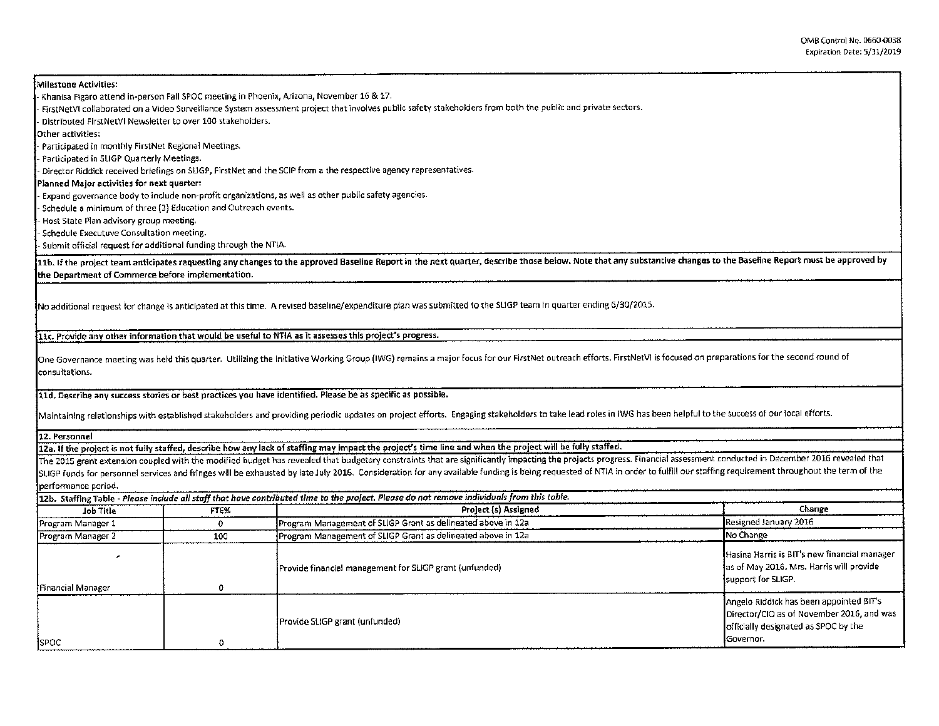Milestone Activities: Khanisa Figaro attend in-person Fall SPOC meeting in Phoenix, Arizona, November 16 & 17. - FirstNetVI collaborated an a Video Surveillance System assessment project that involves public safety stakeholders from both the public and private sectors. - Distributed FirstNetVI Newsletter to aver 100 stakeholders. Other activities: - Participated in monthly FirstNet Regional Meetings. - Participated in SLIGP Quarterly Meetings. - Director Riddick received briefings on SLIGP, First Net and the SCIP from a the respective agency representatives. Planned Major activities for next quarter: - Expand governance body to include non-profit organizations, as well as other public safety agencies. - Schedule a minimum of three (3) Education and Outreach events. - Host State Plan advisory group meeting. - Schedule Executuve Consultation meeting . . Submit official request for additional funding through the NTIA. 11b. If the project team anticipates requesting any changes to the approved Baseline Report in the next quarter, describe those below. Note that any substantive changes to the Baseline Report must be approved by the Department of Commerce before implementation. No additional request for change is anticipated at this time. A revised baseline/expenditure plan was submitted to the SLIGP team in quarter ending 6/30/2015. llc. Provide any other information that would be useful to NTlA as it assesses this prolect's progress. One Governance meeting was held this quarter. Utilizing the Initiative Working Group (IWG) remains a major focus for our First Net outreach efforts. FirstNetVI is focused on preparations for the second round of consultations. Ud. Describe any success stories or best practices you have identified. Please be as specific as possible. Maintaining relationships with established stakeholders and providing periodic updates on project efforts. Engaging stakeholders to take lead roles in IWG has been helpful to the success of our local efforts. 12. Personnel 12a. If the project is not fully staffed, describe how any lack of staffing may impact the project's time line and when the project will be fully staffed. The 2015 grant extension coupled with the modified budget has revealed that budgetary constraints that are significantly impacting the projects progress. Financial assessment conducted in December 2016 revealed that SUGP funds for personnel services and fringes will be exhausted by late July 2016. Consideration for any available funding is being requested of NTIA in order to fulfill our staffing requirement throughout the term of the performance period. 12b. Staffing Table - *Please include all staff that have contributed time* to *the project. Please do not remow individuals from this tob/e.*  Job Title **FTE%** FTE% FTEX Change Project (s) Assigned Change Change Change Change Change Change Program Manager 1 0 0 Program Management of SLIGP Grant as delineated above in 12a Resigned January 2016 Program Manager 2 100 100 Program Management of SLIGP Grant as delineated above in 12a No Change No Change مة المستوى بن المستوى بن المستوى بن المستوى بن المستوى بن المستوى بن المستوى بن المستوى بن المستوى بن المستوى ب<br>Hasina Harris is BIT's new financial management for SLIGP grant (unfunded) with a sof May 2016. Mrs. Harris w Provide financial management for SLIGP grant (unfunded) Financial Manager 0 support for SLIGP. Angelo Riddick has been appointed BIT's Provide SUGP grant (unfunded) Director/CID as of November 2016, and was officially designated as SPOC by the

SPOC Governor.